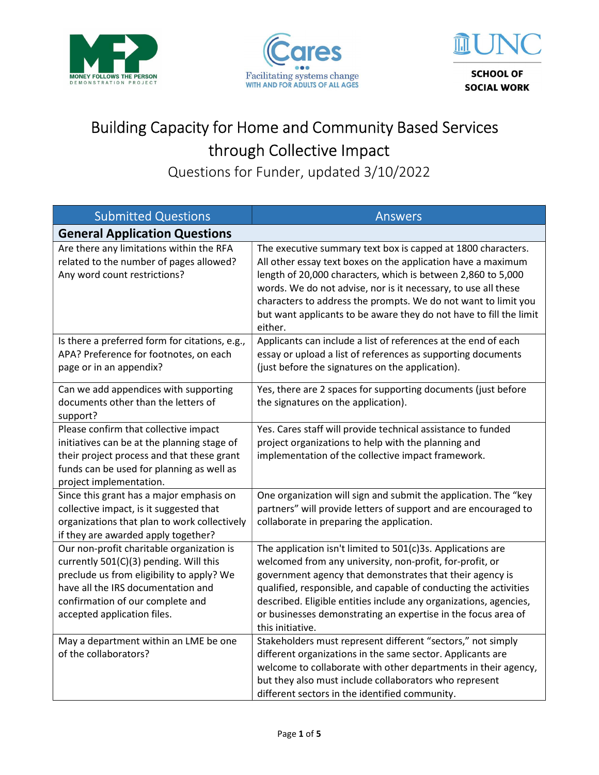





## Building Capacity for Home and Community Based Services through Collective Impact

Questions for Funder, updated 3/10/2022

| <b>Submitted Questions</b>                                                                                                                                                                                                                | <b>Answers</b>                                                                                                                                                                                                                                                                                                                                                                                                    |
|-------------------------------------------------------------------------------------------------------------------------------------------------------------------------------------------------------------------------------------------|-------------------------------------------------------------------------------------------------------------------------------------------------------------------------------------------------------------------------------------------------------------------------------------------------------------------------------------------------------------------------------------------------------------------|
| <b>General Application Questions</b>                                                                                                                                                                                                      |                                                                                                                                                                                                                                                                                                                                                                                                                   |
| Are there any limitations within the RFA<br>related to the number of pages allowed?<br>Any word count restrictions?                                                                                                                       | The executive summary text box is capped at 1800 characters.<br>All other essay text boxes on the application have a maximum<br>length of 20,000 characters, which is between 2,860 to 5,000<br>words. We do not advise, nor is it necessary, to use all these<br>characters to address the prompts. We do not want to limit you<br>but want applicants to be aware they do not have to fill the limit<br>either. |
| Is there a preferred form for citations, e.g.,<br>APA? Preference for footnotes, on each<br>page or in an appendix?                                                                                                                       | Applicants can include a list of references at the end of each<br>essay or upload a list of references as supporting documents<br>(just before the signatures on the application).                                                                                                                                                                                                                                |
| Can we add appendices with supporting<br>documents other than the letters of<br>support?                                                                                                                                                  | Yes, there are 2 spaces for supporting documents (just before<br>the signatures on the application).                                                                                                                                                                                                                                                                                                              |
| Please confirm that collective impact<br>initiatives can be at the planning stage of<br>their project process and that these grant<br>funds can be used for planning as well as<br>project implementation.                                | Yes. Cares staff will provide technical assistance to funded<br>project organizations to help with the planning and<br>implementation of the collective impact framework.                                                                                                                                                                                                                                         |
| Since this grant has a major emphasis on<br>collective impact, is it suggested that<br>organizations that plan to work collectively<br>if they are awarded apply together?                                                                | One organization will sign and submit the application. The "key<br>partners" will provide letters of support and are encouraged to<br>collaborate in preparing the application.                                                                                                                                                                                                                                   |
| Our non-profit charitable organization is<br>currently 501(C)(3) pending. Will this<br>preclude us from eligibility to apply? We<br>have all the IRS documentation and<br>confirmation of our complete and<br>accepted application files. | The application isn't limited to 501(c)3s. Applications are<br>welcomed from any university, non-profit, for-profit, or<br>government agency that demonstrates that their agency is<br>qualified, responsible, and capable of conducting the activities<br>described. Eligible entities include any organizations, agencies,<br>or businesses demonstrating an expertise in the focus area of<br>this initiative. |
| May a department within an LME be one<br>of the collaborators?                                                                                                                                                                            | Stakeholders must represent different "sectors," not simply<br>different organizations in the same sector. Applicants are<br>welcome to collaborate with other departments in their agency,<br>but they also must include collaborators who represent<br>different sectors in the identified community.                                                                                                           |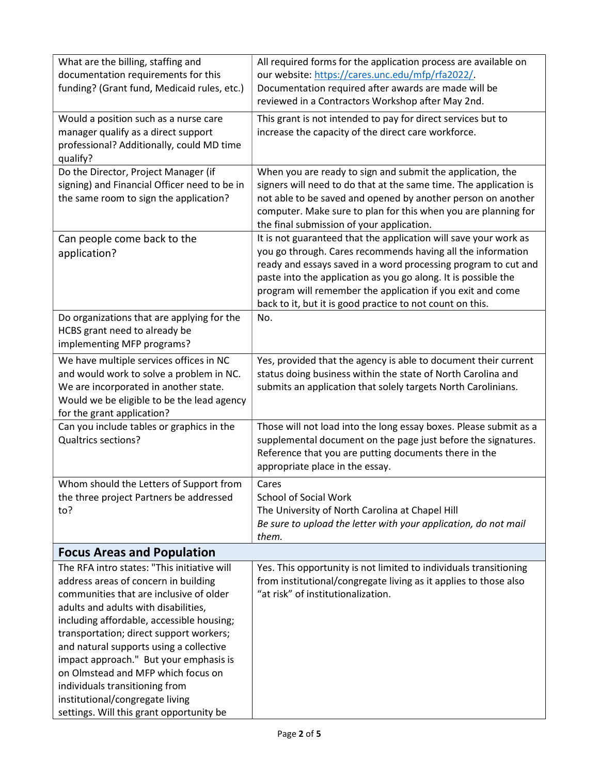| What are the billing, staffing and<br>All required forms for the application process are available on<br>documentation requirements for this<br>our website: https://cares.unc.edu/mfp/rfa2022/.<br>funding? (Grant fund, Medicaid rules, etc.)<br>Documentation required after awards are made will be<br>reviewed in a Contractors Workshop after May 2nd.<br>Would a position such as a nurse care<br>This grant is not intended to pay for direct services but to<br>manager qualify as a direct support<br>increase the capacity of the direct care workforce.<br>professional? Additionally, could MD time<br>qualify?<br>Do the Director, Project Manager (if<br>When you are ready to sign and submit the application, the<br>signers will need to do that at the same time. The application is<br>signing) and Financial Officer need to be in<br>not able to be saved and opened by another person on another<br>the same room to sign the application?<br>computer. Make sure to plan for this when you are planning for<br>the final submission of your application.<br>It is not guaranteed that the application will save your work as<br>Can people come back to the<br>you go through. Cares recommends having all the information<br>application?<br>ready and essays saved in a word processing program to cut and<br>paste into the application as you go along. It is possible the<br>program will remember the application if you exit and come<br>back to it, but it is good practice to not count on this.<br>Do organizations that are applying for the<br>No.<br>HCBS grant need to already be<br>implementing MFP programs?<br>We have multiple services offices in NC<br>Yes, provided that the agency is able to document their current<br>and would work to solve a problem in NC.<br>status doing business within the state of North Carolina and<br>We are incorporated in another state.<br>submits an application that solely targets North Carolinians.<br>Would we be eligible to be the lead agency<br>for the grant application?<br>Can you include tables or graphics in the<br>Those will not load into the long essay boxes. Please submit as a<br><b>Qualtrics sections?</b><br>supplemental document on the page just before the signatures.<br>Reference that you are putting documents there in the<br>appropriate place in the essay.<br>Whom should the Letters of Support from<br>Cares<br><b>School of Social Work</b><br>the three project Partners be addressed<br>The University of North Carolina at Chapel Hill<br>to?<br>Be sure to upload the letter with your application, do not mail<br>them.<br><b>Focus Areas and Population</b><br>The RFA intro states: "This initiative will<br>Yes. This opportunity is not limited to individuals transitioning<br>address areas of concern in building<br>from institutional/congregate living as it applies to those also<br>"at risk" of institutionalization.<br>communities that are inclusive of older<br>adults and adults with disabilities,<br>including affordable, accessible housing;<br>transportation; direct support workers;<br>and natural supports using a collective<br>impact approach." But your emphasis is<br>on Olmstead and MFP which focus on<br>individuals transitioning from<br>institutional/congregate living |  |
|-----------------------------------------------------------------------------------------------------------------------------------------------------------------------------------------------------------------------------------------------------------------------------------------------------------------------------------------------------------------------------------------------------------------------------------------------------------------------------------------------------------------------------------------------------------------------------------------------------------------------------------------------------------------------------------------------------------------------------------------------------------------------------------------------------------------------------------------------------------------------------------------------------------------------------------------------------------------------------------------------------------------------------------------------------------------------------------------------------------------------------------------------------------------------------------------------------------------------------------------------------------------------------------------------------------------------------------------------------------------------------------------------------------------------------------------------------------------------------------------------------------------------------------------------------------------------------------------------------------------------------------------------------------------------------------------------------------------------------------------------------------------------------------------------------------------------------------------------------------------------------------------------------------------------------------------------------------------------------------------------------------------------------------------------------------------------------------------------------------------------------------------------------------------------------------------------------------------------------------------------------------------------------------------------------------------------------------------------------------------------------------------------------------------------------------------------------------------------------------------------------------------------------------------------------------------------------------------------------------------------------------------------------------------------------------------------------------------------------------------------------------------------------------------------------------------------------------------------------------------------------------------------------------------------------------------------------------------------------------------------------------------------------------------------------------------------------------------------------------------------------------------------------------------------------------------------------------------------------------------------------------------------------------------------------------------------------------------------|--|
|                                                                                                                                                                                                                                                                                                                                                                                                                                                                                                                                                                                                                                                                                                                                                                                                                                                                                                                                                                                                                                                                                                                                                                                                                                                                                                                                                                                                                                                                                                                                                                                                                                                                                                                                                                                                                                                                                                                                                                                                                                                                                                                                                                                                                                                                                                                                                                                                                                                                                                                                                                                                                                                                                                                                                                                                                                                                                                                                                                                                                                                                                                                                                                                                                                                                                                                                               |  |
|                                                                                                                                                                                                                                                                                                                                                                                                                                                                                                                                                                                                                                                                                                                                                                                                                                                                                                                                                                                                                                                                                                                                                                                                                                                                                                                                                                                                                                                                                                                                                                                                                                                                                                                                                                                                                                                                                                                                                                                                                                                                                                                                                                                                                                                                                                                                                                                                                                                                                                                                                                                                                                                                                                                                                                                                                                                                                                                                                                                                                                                                                                                                                                                                                                                                                                                                               |  |
|                                                                                                                                                                                                                                                                                                                                                                                                                                                                                                                                                                                                                                                                                                                                                                                                                                                                                                                                                                                                                                                                                                                                                                                                                                                                                                                                                                                                                                                                                                                                                                                                                                                                                                                                                                                                                                                                                                                                                                                                                                                                                                                                                                                                                                                                                                                                                                                                                                                                                                                                                                                                                                                                                                                                                                                                                                                                                                                                                                                                                                                                                                                                                                                                                                                                                                                                               |  |
|                                                                                                                                                                                                                                                                                                                                                                                                                                                                                                                                                                                                                                                                                                                                                                                                                                                                                                                                                                                                                                                                                                                                                                                                                                                                                                                                                                                                                                                                                                                                                                                                                                                                                                                                                                                                                                                                                                                                                                                                                                                                                                                                                                                                                                                                                                                                                                                                                                                                                                                                                                                                                                                                                                                                                                                                                                                                                                                                                                                                                                                                                                                                                                                                                                                                                                                                               |  |
|                                                                                                                                                                                                                                                                                                                                                                                                                                                                                                                                                                                                                                                                                                                                                                                                                                                                                                                                                                                                                                                                                                                                                                                                                                                                                                                                                                                                                                                                                                                                                                                                                                                                                                                                                                                                                                                                                                                                                                                                                                                                                                                                                                                                                                                                                                                                                                                                                                                                                                                                                                                                                                                                                                                                                                                                                                                                                                                                                                                                                                                                                                                                                                                                                                                                                                                                               |  |
|                                                                                                                                                                                                                                                                                                                                                                                                                                                                                                                                                                                                                                                                                                                                                                                                                                                                                                                                                                                                                                                                                                                                                                                                                                                                                                                                                                                                                                                                                                                                                                                                                                                                                                                                                                                                                                                                                                                                                                                                                                                                                                                                                                                                                                                                                                                                                                                                                                                                                                                                                                                                                                                                                                                                                                                                                                                                                                                                                                                                                                                                                                                                                                                                                                                                                                                                               |  |
|                                                                                                                                                                                                                                                                                                                                                                                                                                                                                                                                                                                                                                                                                                                                                                                                                                                                                                                                                                                                                                                                                                                                                                                                                                                                                                                                                                                                                                                                                                                                                                                                                                                                                                                                                                                                                                                                                                                                                                                                                                                                                                                                                                                                                                                                                                                                                                                                                                                                                                                                                                                                                                                                                                                                                                                                                                                                                                                                                                                                                                                                                                                                                                                                                                                                                                                                               |  |
|                                                                                                                                                                                                                                                                                                                                                                                                                                                                                                                                                                                                                                                                                                                                                                                                                                                                                                                                                                                                                                                                                                                                                                                                                                                                                                                                                                                                                                                                                                                                                                                                                                                                                                                                                                                                                                                                                                                                                                                                                                                                                                                                                                                                                                                                                                                                                                                                                                                                                                                                                                                                                                                                                                                                                                                                                                                                                                                                                                                                                                                                                                                                                                                                                                                                                                                                               |  |
|                                                                                                                                                                                                                                                                                                                                                                                                                                                                                                                                                                                                                                                                                                                                                                                                                                                                                                                                                                                                                                                                                                                                                                                                                                                                                                                                                                                                                                                                                                                                                                                                                                                                                                                                                                                                                                                                                                                                                                                                                                                                                                                                                                                                                                                                                                                                                                                                                                                                                                                                                                                                                                                                                                                                                                                                                                                                                                                                                                                                                                                                                                                                                                                                                                                                                                                                               |  |
|                                                                                                                                                                                                                                                                                                                                                                                                                                                                                                                                                                                                                                                                                                                                                                                                                                                                                                                                                                                                                                                                                                                                                                                                                                                                                                                                                                                                                                                                                                                                                                                                                                                                                                                                                                                                                                                                                                                                                                                                                                                                                                                                                                                                                                                                                                                                                                                                                                                                                                                                                                                                                                                                                                                                                                                                                                                                                                                                                                                                                                                                                                                                                                                                                                                                                                                                               |  |
|                                                                                                                                                                                                                                                                                                                                                                                                                                                                                                                                                                                                                                                                                                                                                                                                                                                                                                                                                                                                                                                                                                                                                                                                                                                                                                                                                                                                                                                                                                                                                                                                                                                                                                                                                                                                                                                                                                                                                                                                                                                                                                                                                                                                                                                                                                                                                                                                                                                                                                                                                                                                                                                                                                                                                                                                                                                                                                                                                                                                                                                                                                                                                                                                                                                                                                                                               |  |
|                                                                                                                                                                                                                                                                                                                                                                                                                                                                                                                                                                                                                                                                                                                                                                                                                                                                                                                                                                                                                                                                                                                                                                                                                                                                                                                                                                                                                                                                                                                                                                                                                                                                                                                                                                                                                                                                                                                                                                                                                                                                                                                                                                                                                                                                                                                                                                                                                                                                                                                                                                                                                                                                                                                                                                                                                                                                                                                                                                                                                                                                                                                                                                                                                                                                                                                                               |  |
|                                                                                                                                                                                                                                                                                                                                                                                                                                                                                                                                                                                                                                                                                                                                                                                                                                                                                                                                                                                                                                                                                                                                                                                                                                                                                                                                                                                                                                                                                                                                                                                                                                                                                                                                                                                                                                                                                                                                                                                                                                                                                                                                                                                                                                                                                                                                                                                                                                                                                                                                                                                                                                                                                                                                                                                                                                                                                                                                                                                                                                                                                                                                                                                                                                                                                                                                               |  |
|                                                                                                                                                                                                                                                                                                                                                                                                                                                                                                                                                                                                                                                                                                                                                                                                                                                                                                                                                                                                                                                                                                                                                                                                                                                                                                                                                                                                                                                                                                                                                                                                                                                                                                                                                                                                                                                                                                                                                                                                                                                                                                                                                                                                                                                                                                                                                                                                                                                                                                                                                                                                                                                                                                                                                                                                                                                                                                                                                                                                                                                                                                                                                                                                                                                                                                                                               |  |
|                                                                                                                                                                                                                                                                                                                                                                                                                                                                                                                                                                                                                                                                                                                                                                                                                                                                                                                                                                                                                                                                                                                                                                                                                                                                                                                                                                                                                                                                                                                                                                                                                                                                                                                                                                                                                                                                                                                                                                                                                                                                                                                                                                                                                                                                                                                                                                                                                                                                                                                                                                                                                                                                                                                                                                                                                                                                                                                                                                                                                                                                                                                                                                                                                                                                                                                                               |  |
|                                                                                                                                                                                                                                                                                                                                                                                                                                                                                                                                                                                                                                                                                                                                                                                                                                                                                                                                                                                                                                                                                                                                                                                                                                                                                                                                                                                                                                                                                                                                                                                                                                                                                                                                                                                                                                                                                                                                                                                                                                                                                                                                                                                                                                                                                                                                                                                                                                                                                                                                                                                                                                                                                                                                                                                                                                                                                                                                                                                                                                                                                                                                                                                                                                                                                                                                               |  |
|                                                                                                                                                                                                                                                                                                                                                                                                                                                                                                                                                                                                                                                                                                                                                                                                                                                                                                                                                                                                                                                                                                                                                                                                                                                                                                                                                                                                                                                                                                                                                                                                                                                                                                                                                                                                                                                                                                                                                                                                                                                                                                                                                                                                                                                                                                                                                                                                                                                                                                                                                                                                                                                                                                                                                                                                                                                                                                                                                                                                                                                                                                                                                                                                                                                                                                                                               |  |
|                                                                                                                                                                                                                                                                                                                                                                                                                                                                                                                                                                                                                                                                                                                                                                                                                                                                                                                                                                                                                                                                                                                                                                                                                                                                                                                                                                                                                                                                                                                                                                                                                                                                                                                                                                                                                                                                                                                                                                                                                                                                                                                                                                                                                                                                                                                                                                                                                                                                                                                                                                                                                                                                                                                                                                                                                                                                                                                                                                                                                                                                                                                                                                                                                                                                                                                                               |  |
|                                                                                                                                                                                                                                                                                                                                                                                                                                                                                                                                                                                                                                                                                                                                                                                                                                                                                                                                                                                                                                                                                                                                                                                                                                                                                                                                                                                                                                                                                                                                                                                                                                                                                                                                                                                                                                                                                                                                                                                                                                                                                                                                                                                                                                                                                                                                                                                                                                                                                                                                                                                                                                                                                                                                                                                                                                                                                                                                                                                                                                                                                                                                                                                                                                                                                                                                               |  |
|                                                                                                                                                                                                                                                                                                                                                                                                                                                                                                                                                                                                                                                                                                                                                                                                                                                                                                                                                                                                                                                                                                                                                                                                                                                                                                                                                                                                                                                                                                                                                                                                                                                                                                                                                                                                                                                                                                                                                                                                                                                                                                                                                                                                                                                                                                                                                                                                                                                                                                                                                                                                                                                                                                                                                                                                                                                                                                                                                                                                                                                                                                                                                                                                                                                                                                                                               |  |
|                                                                                                                                                                                                                                                                                                                                                                                                                                                                                                                                                                                                                                                                                                                                                                                                                                                                                                                                                                                                                                                                                                                                                                                                                                                                                                                                                                                                                                                                                                                                                                                                                                                                                                                                                                                                                                                                                                                                                                                                                                                                                                                                                                                                                                                                                                                                                                                                                                                                                                                                                                                                                                                                                                                                                                                                                                                                                                                                                                                                                                                                                                                                                                                                                                                                                                                                               |  |
|                                                                                                                                                                                                                                                                                                                                                                                                                                                                                                                                                                                                                                                                                                                                                                                                                                                                                                                                                                                                                                                                                                                                                                                                                                                                                                                                                                                                                                                                                                                                                                                                                                                                                                                                                                                                                                                                                                                                                                                                                                                                                                                                                                                                                                                                                                                                                                                                                                                                                                                                                                                                                                                                                                                                                                                                                                                                                                                                                                                                                                                                                                                                                                                                                                                                                                                                               |  |
|                                                                                                                                                                                                                                                                                                                                                                                                                                                                                                                                                                                                                                                                                                                                                                                                                                                                                                                                                                                                                                                                                                                                                                                                                                                                                                                                                                                                                                                                                                                                                                                                                                                                                                                                                                                                                                                                                                                                                                                                                                                                                                                                                                                                                                                                                                                                                                                                                                                                                                                                                                                                                                                                                                                                                                                                                                                                                                                                                                                                                                                                                                                                                                                                                                                                                                                                               |  |
|                                                                                                                                                                                                                                                                                                                                                                                                                                                                                                                                                                                                                                                                                                                                                                                                                                                                                                                                                                                                                                                                                                                                                                                                                                                                                                                                                                                                                                                                                                                                                                                                                                                                                                                                                                                                                                                                                                                                                                                                                                                                                                                                                                                                                                                                                                                                                                                                                                                                                                                                                                                                                                                                                                                                                                                                                                                                                                                                                                                                                                                                                                                                                                                                                                                                                                                                               |  |
|                                                                                                                                                                                                                                                                                                                                                                                                                                                                                                                                                                                                                                                                                                                                                                                                                                                                                                                                                                                                                                                                                                                                                                                                                                                                                                                                                                                                                                                                                                                                                                                                                                                                                                                                                                                                                                                                                                                                                                                                                                                                                                                                                                                                                                                                                                                                                                                                                                                                                                                                                                                                                                                                                                                                                                                                                                                                                                                                                                                                                                                                                                                                                                                                                                                                                                                                               |  |
|                                                                                                                                                                                                                                                                                                                                                                                                                                                                                                                                                                                                                                                                                                                                                                                                                                                                                                                                                                                                                                                                                                                                                                                                                                                                                                                                                                                                                                                                                                                                                                                                                                                                                                                                                                                                                                                                                                                                                                                                                                                                                                                                                                                                                                                                                                                                                                                                                                                                                                                                                                                                                                                                                                                                                                                                                                                                                                                                                                                                                                                                                                                                                                                                                                                                                                                                               |  |
|                                                                                                                                                                                                                                                                                                                                                                                                                                                                                                                                                                                                                                                                                                                                                                                                                                                                                                                                                                                                                                                                                                                                                                                                                                                                                                                                                                                                                                                                                                                                                                                                                                                                                                                                                                                                                                                                                                                                                                                                                                                                                                                                                                                                                                                                                                                                                                                                                                                                                                                                                                                                                                                                                                                                                                                                                                                                                                                                                                                                                                                                                                                                                                                                                                                                                                                                               |  |
|                                                                                                                                                                                                                                                                                                                                                                                                                                                                                                                                                                                                                                                                                                                                                                                                                                                                                                                                                                                                                                                                                                                                                                                                                                                                                                                                                                                                                                                                                                                                                                                                                                                                                                                                                                                                                                                                                                                                                                                                                                                                                                                                                                                                                                                                                                                                                                                                                                                                                                                                                                                                                                                                                                                                                                                                                                                                                                                                                                                                                                                                                                                                                                                                                                                                                                                                               |  |
|                                                                                                                                                                                                                                                                                                                                                                                                                                                                                                                                                                                                                                                                                                                                                                                                                                                                                                                                                                                                                                                                                                                                                                                                                                                                                                                                                                                                                                                                                                                                                                                                                                                                                                                                                                                                                                                                                                                                                                                                                                                                                                                                                                                                                                                                                                                                                                                                                                                                                                                                                                                                                                                                                                                                                                                                                                                                                                                                                                                                                                                                                                                                                                                                                                                                                                                                               |  |
|                                                                                                                                                                                                                                                                                                                                                                                                                                                                                                                                                                                                                                                                                                                                                                                                                                                                                                                                                                                                                                                                                                                                                                                                                                                                                                                                                                                                                                                                                                                                                                                                                                                                                                                                                                                                                                                                                                                                                                                                                                                                                                                                                                                                                                                                                                                                                                                                                                                                                                                                                                                                                                                                                                                                                                                                                                                                                                                                                                                                                                                                                                                                                                                                                                                                                                                                               |  |
|                                                                                                                                                                                                                                                                                                                                                                                                                                                                                                                                                                                                                                                                                                                                                                                                                                                                                                                                                                                                                                                                                                                                                                                                                                                                                                                                                                                                                                                                                                                                                                                                                                                                                                                                                                                                                                                                                                                                                                                                                                                                                                                                                                                                                                                                                                                                                                                                                                                                                                                                                                                                                                                                                                                                                                                                                                                                                                                                                                                                                                                                                                                                                                                                                                                                                                                                               |  |
|                                                                                                                                                                                                                                                                                                                                                                                                                                                                                                                                                                                                                                                                                                                                                                                                                                                                                                                                                                                                                                                                                                                                                                                                                                                                                                                                                                                                                                                                                                                                                                                                                                                                                                                                                                                                                                                                                                                                                                                                                                                                                                                                                                                                                                                                                                                                                                                                                                                                                                                                                                                                                                                                                                                                                                                                                                                                                                                                                                                                                                                                                                                                                                                                                                                                                                                                               |  |
|                                                                                                                                                                                                                                                                                                                                                                                                                                                                                                                                                                                                                                                                                                                                                                                                                                                                                                                                                                                                                                                                                                                                                                                                                                                                                                                                                                                                                                                                                                                                                                                                                                                                                                                                                                                                                                                                                                                                                                                                                                                                                                                                                                                                                                                                                                                                                                                                                                                                                                                                                                                                                                                                                                                                                                                                                                                                                                                                                                                                                                                                                                                                                                                                                                                                                                                                               |  |
|                                                                                                                                                                                                                                                                                                                                                                                                                                                                                                                                                                                                                                                                                                                                                                                                                                                                                                                                                                                                                                                                                                                                                                                                                                                                                                                                                                                                                                                                                                                                                                                                                                                                                                                                                                                                                                                                                                                                                                                                                                                                                                                                                                                                                                                                                                                                                                                                                                                                                                                                                                                                                                                                                                                                                                                                                                                                                                                                                                                                                                                                                                                                                                                                                                                                                                                                               |  |
|                                                                                                                                                                                                                                                                                                                                                                                                                                                                                                                                                                                                                                                                                                                                                                                                                                                                                                                                                                                                                                                                                                                                                                                                                                                                                                                                                                                                                                                                                                                                                                                                                                                                                                                                                                                                                                                                                                                                                                                                                                                                                                                                                                                                                                                                                                                                                                                                                                                                                                                                                                                                                                                                                                                                                                                                                                                                                                                                                                                                                                                                                                                                                                                                                                                                                                                                               |  |
|                                                                                                                                                                                                                                                                                                                                                                                                                                                                                                                                                                                                                                                                                                                                                                                                                                                                                                                                                                                                                                                                                                                                                                                                                                                                                                                                                                                                                                                                                                                                                                                                                                                                                                                                                                                                                                                                                                                                                                                                                                                                                                                                                                                                                                                                                                                                                                                                                                                                                                                                                                                                                                                                                                                                                                                                                                                                                                                                                                                                                                                                                                                                                                                                                                                                                                                                               |  |
|                                                                                                                                                                                                                                                                                                                                                                                                                                                                                                                                                                                                                                                                                                                                                                                                                                                                                                                                                                                                                                                                                                                                                                                                                                                                                                                                                                                                                                                                                                                                                                                                                                                                                                                                                                                                                                                                                                                                                                                                                                                                                                                                                                                                                                                                                                                                                                                                                                                                                                                                                                                                                                                                                                                                                                                                                                                                                                                                                                                                                                                                                                                                                                                                                                                                                                                                               |  |
|                                                                                                                                                                                                                                                                                                                                                                                                                                                                                                                                                                                                                                                                                                                                                                                                                                                                                                                                                                                                                                                                                                                                                                                                                                                                                                                                                                                                                                                                                                                                                                                                                                                                                                                                                                                                                                                                                                                                                                                                                                                                                                                                                                                                                                                                                                                                                                                                                                                                                                                                                                                                                                                                                                                                                                                                                                                                                                                                                                                                                                                                                                                                                                                                                                                                                                                                               |  |
|                                                                                                                                                                                                                                                                                                                                                                                                                                                                                                                                                                                                                                                                                                                                                                                                                                                                                                                                                                                                                                                                                                                                                                                                                                                                                                                                                                                                                                                                                                                                                                                                                                                                                                                                                                                                                                                                                                                                                                                                                                                                                                                                                                                                                                                                                                                                                                                                                                                                                                                                                                                                                                                                                                                                                                                                                                                                                                                                                                                                                                                                                                                                                                                                                                                                                                                                               |  |
|                                                                                                                                                                                                                                                                                                                                                                                                                                                                                                                                                                                                                                                                                                                                                                                                                                                                                                                                                                                                                                                                                                                                                                                                                                                                                                                                                                                                                                                                                                                                                                                                                                                                                                                                                                                                                                                                                                                                                                                                                                                                                                                                                                                                                                                                                                                                                                                                                                                                                                                                                                                                                                                                                                                                                                                                                                                                                                                                                                                                                                                                                                                                                                                                                                                                                                                                               |  |
|                                                                                                                                                                                                                                                                                                                                                                                                                                                                                                                                                                                                                                                                                                                                                                                                                                                                                                                                                                                                                                                                                                                                                                                                                                                                                                                                                                                                                                                                                                                                                                                                                                                                                                                                                                                                                                                                                                                                                                                                                                                                                                                                                                                                                                                                                                                                                                                                                                                                                                                                                                                                                                                                                                                                                                                                                                                                                                                                                                                                                                                                                                                                                                                                                                                                                                                                               |  |
|                                                                                                                                                                                                                                                                                                                                                                                                                                                                                                                                                                                                                                                                                                                                                                                                                                                                                                                                                                                                                                                                                                                                                                                                                                                                                                                                                                                                                                                                                                                                                                                                                                                                                                                                                                                                                                                                                                                                                                                                                                                                                                                                                                                                                                                                                                                                                                                                                                                                                                                                                                                                                                                                                                                                                                                                                                                                                                                                                                                                                                                                                                                                                                                                                                                                                                                                               |  |
|                                                                                                                                                                                                                                                                                                                                                                                                                                                                                                                                                                                                                                                                                                                                                                                                                                                                                                                                                                                                                                                                                                                                                                                                                                                                                                                                                                                                                                                                                                                                                                                                                                                                                                                                                                                                                                                                                                                                                                                                                                                                                                                                                                                                                                                                                                                                                                                                                                                                                                                                                                                                                                                                                                                                                                                                                                                                                                                                                                                                                                                                                                                                                                                                                                                                                                                                               |  |
|                                                                                                                                                                                                                                                                                                                                                                                                                                                                                                                                                                                                                                                                                                                                                                                                                                                                                                                                                                                                                                                                                                                                                                                                                                                                                                                                                                                                                                                                                                                                                                                                                                                                                                                                                                                                                                                                                                                                                                                                                                                                                                                                                                                                                                                                                                                                                                                                                                                                                                                                                                                                                                                                                                                                                                                                                                                                                                                                                                                                                                                                                                                                                                                                                                                                                                                                               |  |
|                                                                                                                                                                                                                                                                                                                                                                                                                                                                                                                                                                                                                                                                                                                                                                                                                                                                                                                                                                                                                                                                                                                                                                                                                                                                                                                                                                                                                                                                                                                                                                                                                                                                                                                                                                                                                                                                                                                                                                                                                                                                                                                                                                                                                                                                                                                                                                                                                                                                                                                                                                                                                                                                                                                                                                                                                                                                                                                                                                                                                                                                                                                                                                                                                                                                                                                                               |  |
| settings. Will this grant opportunity be                                                                                                                                                                                                                                                                                                                                                                                                                                                                                                                                                                                                                                                                                                                                                                                                                                                                                                                                                                                                                                                                                                                                                                                                                                                                                                                                                                                                                                                                                                                                                                                                                                                                                                                                                                                                                                                                                                                                                                                                                                                                                                                                                                                                                                                                                                                                                                                                                                                                                                                                                                                                                                                                                                                                                                                                                                                                                                                                                                                                                                                                                                                                                                                                                                                                                                      |  |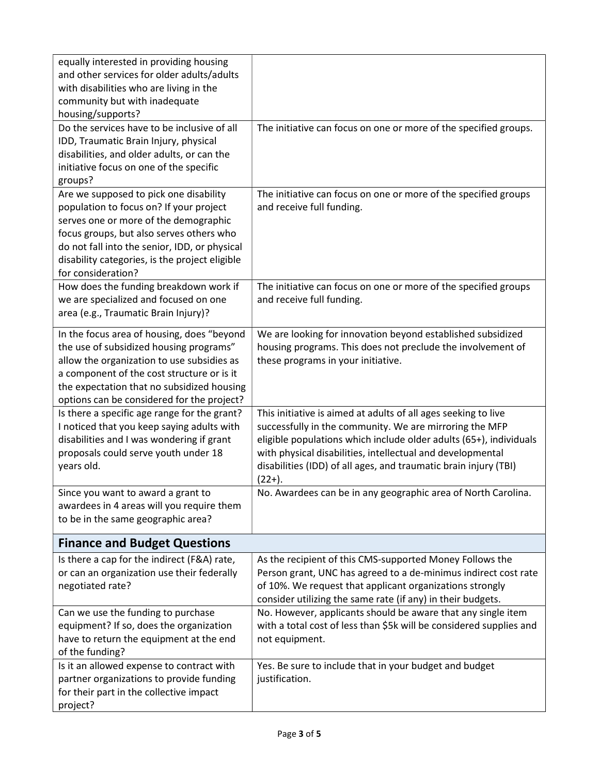| equally interested in providing housing<br>and other services for older adults/adults<br>with disabilities who are living in the<br>community but with inadequate<br>housing/supports?                                                                                                          |                                                                                                                                                                                                                                                                                                                                                |
|-------------------------------------------------------------------------------------------------------------------------------------------------------------------------------------------------------------------------------------------------------------------------------------------------|------------------------------------------------------------------------------------------------------------------------------------------------------------------------------------------------------------------------------------------------------------------------------------------------------------------------------------------------|
| Do the services have to be inclusive of all<br>IDD, Traumatic Brain Injury, physical<br>disabilities, and older adults, or can the<br>initiative focus on one of the specific<br>groups?                                                                                                        | The initiative can focus on one or more of the specified groups.                                                                                                                                                                                                                                                                               |
| Are we supposed to pick one disability<br>population to focus on? If your project<br>serves one or more of the demographic<br>focus groups, but also serves others who<br>do not fall into the senior, IDD, or physical<br>disability categories, is the project eligible<br>for consideration? | The initiative can focus on one or more of the specified groups<br>and receive full funding.                                                                                                                                                                                                                                                   |
| How does the funding breakdown work if<br>we are specialized and focused on one<br>area (e.g., Traumatic Brain Injury)?                                                                                                                                                                         | The initiative can focus on one or more of the specified groups<br>and receive full funding.                                                                                                                                                                                                                                                   |
| In the focus area of housing, does "beyond<br>the use of subsidized housing programs"<br>allow the organization to use subsidies as<br>a component of the cost structure or is it<br>the expectation that no subsidized housing<br>options can be considered for the project?                   | We are looking for innovation beyond established subsidized<br>housing programs. This does not preclude the involvement of<br>these programs in your initiative.                                                                                                                                                                               |
| Is there a specific age range for the grant?<br>I noticed that you keep saying adults with<br>disabilities and I was wondering if grant<br>proposals could serve youth under 18<br>years old.                                                                                                   | This initiative is aimed at adults of all ages seeking to live<br>successfully in the community. We are mirroring the MFP<br>eligible populations which include older adults (65+), individuals<br>with physical disabilities, intellectual and developmental<br>disabilities (IDD) of all ages, and traumatic brain injury (TBI)<br>$(22+)$ . |
| Since you want to award a grant to<br>awardees in 4 areas will you require them<br>to be in the same geographic area?                                                                                                                                                                           | No. Awardees can be in any geographic area of North Carolina.                                                                                                                                                                                                                                                                                  |
| <b>Finance and Budget Questions</b>                                                                                                                                                                                                                                                             |                                                                                                                                                                                                                                                                                                                                                |
| Is there a cap for the indirect (F&A) rate,<br>or can an organization use their federally<br>negotiated rate?                                                                                                                                                                                   | As the recipient of this CMS-supported Money Follows the<br>Person grant, UNC has agreed to a de-minimus indirect cost rate<br>of 10%. We request that applicant organizations strongly<br>consider utilizing the same rate (if any) in their budgets.                                                                                         |
| Can we use the funding to purchase<br>equipment? If so, does the organization<br>have to return the equipment at the end<br>of the funding?                                                                                                                                                     | No. However, applicants should be aware that any single item<br>with a total cost of less than \$5k will be considered supplies and<br>not equipment.                                                                                                                                                                                          |
| Is it an allowed expense to contract with<br>partner organizations to provide funding<br>for their part in the collective impact<br>project?                                                                                                                                                    | Yes. Be sure to include that in your budget and budget<br>justification.                                                                                                                                                                                                                                                                       |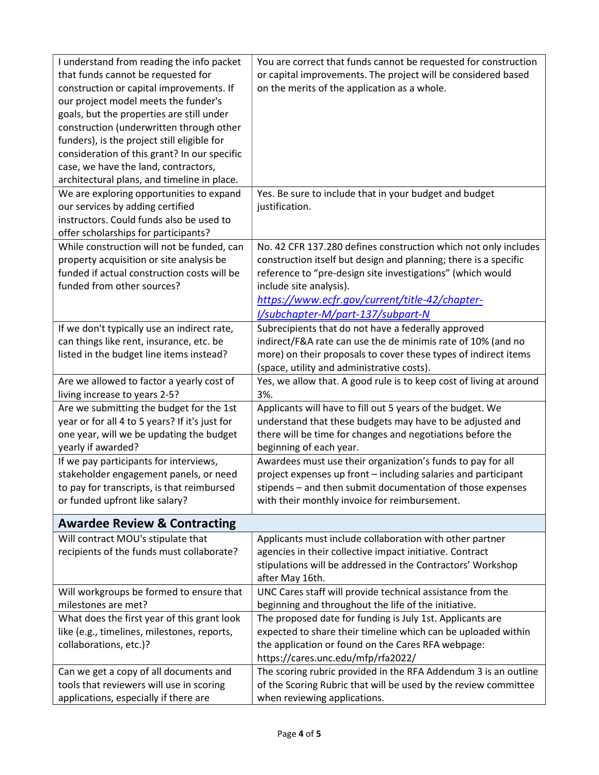| I understand from reading the info packet<br>that funds cannot be requested for<br>construction or capital improvements. If<br>our project model meets the funder's<br>goals, but the properties are still under<br>construction (underwritten through other<br>funders), is the project still eligible for<br>consideration of this grant? In our specific<br>case, we have the land, contractors,<br>architectural plans, and timeline in place. | You are correct that funds cannot be requested for construction<br>or capital improvements. The project will be considered based<br>on the merits of the application as a whole.                                                                                                                                    |
|----------------------------------------------------------------------------------------------------------------------------------------------------------------------------------------------------------------------------------------------------------------------------------------------------------------------------------------------------------------------------------------------------------------------------------------------------|---------------------------------------------------------------------------------------------------------------------------------------------------------------------------------------------------------------------------------------------------------------------------------------------------------------------|
| We are exploring opportunities to expand<br>our services by adding certified<br>instructors. Could funds also be used to<br>offer scholarships for participants?                                                                                                                                                                                                                                                                                   | Yes. Be sure to include that in your budget and budget<br>justification.                                                                                                                                                                                                                                            |
| While construction will not be funded, can<br>property acquisition or site analysis be<br>funded if actual construction costs will be<br>funded from other sources?                                                                                                                                                                                                                                                                                | No. 42 CFR 137.280 defines construction which not only includes<br>construction itself but design and planning; there is a specific<br>reference to "pre-design site investigations" (which would<br>include site analysis).<br>https://www.ecfr.gov/current/title-42/chapter-<br>I/subchapter-M/part-137/subpart-N |
| If we don't typically use an indirect rate,<br>can things like rent, insurance, etc. be<br>listed in the budget line items instead?                                                                                                                                                                                                                                                                                                                | Subrecipients that do not have a federally approved<br>indirect/F&A rate can use the de minimis rate of 10% (and no<br>more) on their proposals to cover these types of indirect items<br>(space, utility and administrative costs).                                                                                |
| Are we allowed to factor a yearly cost of<br>living increase to years 2-5?                                                                                                                                                                                                                                                                                                                                                                         | Yes, we allow that. A good rule is to keep cost of living at around<br>3%.                                                                                                                                                                                                                                          |
| Are we submitting the budget for the 1st<br>year or for all 4 to 5 years? If it's just for<br>one year, will we be updating the budget<br>yearly if awarded?                                                                                                                                                                                                                                                                                       | Applicants will have to fill out 5 years of the budget. We<br>understand that these budgets may have to be adjusted and<br>there will be time for changes and negotiations before the<br>beginning of each year.                                                                                                    |
| If we pay participants for interviews,<br>stakeholder engagement panels, or need<br>to pay for transcripts, is that reimbursed<br>or funded upfront like salary?                                                                                                                                                                                                                                                                                   | Awardees must use their organization's funds to pay for all<br>project expenses up front - including salaries and participant<br>stipends - and then submit documentation of those expenses<br>with their monthly invoice for reimbursement.                                                                        |
| <b>Awardee Review &amp; Contracting</b>                                                                                                                                                                                                                                                                                                                                                                                                            |                                                                                                                                                                                                                                                                                                                     |
| Will contract MOU's stipulate that<br>recipients of the funds must collaborate?                                                                                                                                                                                                                                                                                                                                                                    | Applicants must include collaboration with other partner<br>agencies in their collective impact initiative. Contract<br>stipulations will be addressed in the Contractors' Workshop<br>after May 16th.                                                                                                              |
| Will workgroups be formed to ensure that<br>milestones are met?                                                                                                                                                                                                                                                                                                                                                                                    | UNC Cares staff will provide technical assistance from the<br>beginning and throughout the life of the initiative.                                                                                                                                                                                                  |
| What does the first year of this grant look<br>like (e.g., timelines, milestones, reports,<br>collaborations, etc.)?                                                                                                                                                                                                                                                                                                                               | The proposed date for funding is July 1st. Applicants are<br>expected to share their timeline which can be uploaded within<br>the application or found on the Cares RFA webpage:<br>https://cares.unc.edu/mfp/rfa2022/                                                                                              |
| Can we get a copy of all documents and<br>tools that reviewers will use in scoring<br>applications, especially if there are                                                                                                                                                                                                                                                                                                                        | The scoring rubric provided in the RFA Addendum 3 is an outline<br>of the Scoring Rubric that will be used by the review committee<br>when reviewing applications.                                                                                                                                                  |